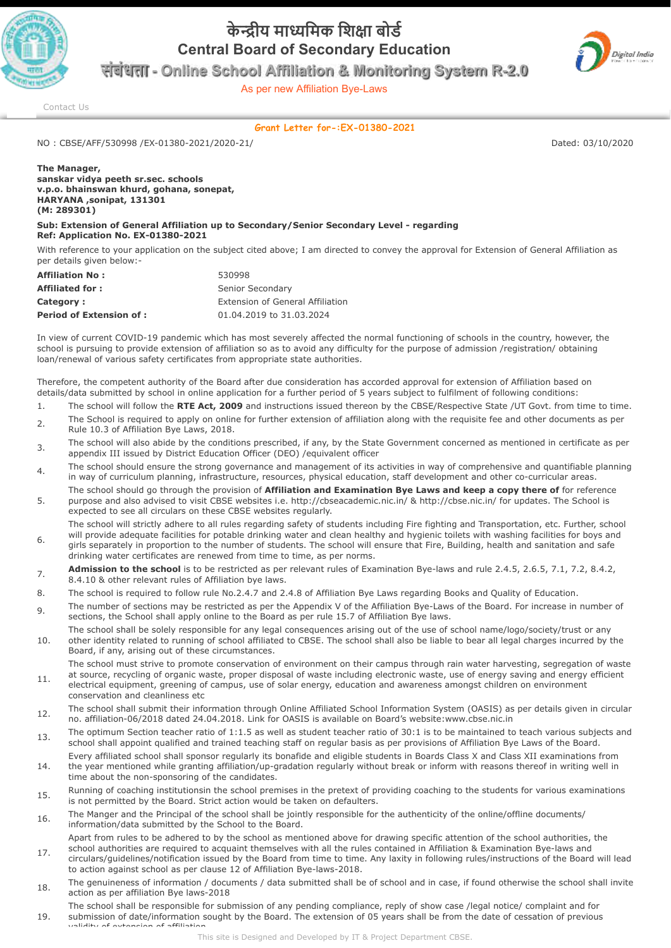

## **के ीय मािमक िशा बोड Central Board of Secondary Education**



As per new Affiliation Bye-Laws



[Contact Us](http://cbseaff.nic.in/cbse_aff/help.aspx)

## **Grant Letter for-:EX-01380-2021**

NO : CBSE/AFF/530998 /EX-01380-2021/2020-21/ Dated: 03/10/2020

**The Manager, sanskar vidya peeth sr.sec. schools v.p.o. bhainswan khurd, gohana, sonepat, HARYANA ,sonipat, 131301 (M: 289301)** 

validity of extension of affiliation

## **Sub: Extension of General Affiliation up to Secondary/Senior Secondary Level - regarding Ref: Application No. EX-01380-2021**

With reference to your application on the subject cited above; I am directed to convey the approval for Extension of General Affiliation as per details given below:-

| <b>Affiliation No:</b>          | 530998                           |
|---------------------------------|----------------------------------|
| <b>Affiliated for:</b>          | Senior Secondary                 |
| Category:                       | Extension of General Affiliation |
| <b>Period of Extension of :</b> | 01.04.2019 to 31.03.2024         |

In view of current COVID-19 pandemic which has most severely affected the normal functioning of schools in the country, however, the school is pursuing to provide extension of affiliation so as to avoid any difficulty for the purpose of admission /registration/ obtaining loan/renewal of various safety certificates from appropriate state authorities.

Therefore, the competent authority of the Board after due consideration has accorded approval for extension of Affiliation based on details/data submitted by school in online application for a further period of 5 years subject to fulfilment of following conditions:

- 1. The school will follow the **RTE Act, 2009** and instructions issued thereon by the CBSE/Respective State /UT Govt. from time to time. 2. The School is required to apply on online for further extension of affiliation along with the requisite fee and other documents as per
- Rule 10.3 of Affiliation Bye Laws, 2018.
- <sup>3</sup> The school will also abide by the conditions prescribed, if any, by the State Government concerned as mentioned in certificate as per appendix III issued by District Education Officer (DEO) /equivalent officer
- $_4$  The school should ensure the strong governance and management of its activities in way of comprehensive and quantifiable planning in way of curriculum planning, infrastructure, resources, physical education, staff development and other co-curricular areas.
- 5. The school should go through the provision of **Affiliation and Examination Bye Laws and keep a copy there of** for reference purpose and also advised to visit CBSE websites i.e. http://cbseacademic.nic.in/ & http://cbse.nic.in/ for updates. The School is expected to see all circulars on these CBSE websites regularly.

6. The school will strictly adhere to all rules regarding safety of students including Fire fighting and Transportation, etc. Further, school will provide adequate facilities for potable drinking water and clean healthy and hygienic toilets with washing facilities for boys and girls separately in proportion to the number of students. The school will ensure that Fire, Building, health and sanitation and safe drinking water certificates are renewed from time to time, as per norms.

- **Admission to the school** is to be restricted as per relevant rules of Examination Bye-laws and rule 2.4.5, 2.6.5, 7.1, 7.2, 8.4.2, 8.4.10 & other relevant rules of Affiliation bye laws.
- 8. The school is required to follow rule No.2.4.7 and 2.4.8 of Affiliation Bye Laws regarding Books and Quality of Education.
- 9. The number of sections may be restricted as per the Appendix V of the Affiliation Bye-Laws of the Board. For increase in number of sections, the School shall apply online to the Board as per rule 15.7 of Affiliation Bye laws.
- 10. The school shall be solely responsible for any legal consequences arising out of the use of school name/logo/society/trust or any other identity related to running of school affiliated to CBSE. The school shall also be liable to bear all legal charges incurred by the Board, if any, arising out of these circumstances.
- 11. The school must strive to promote conservation of environment on their campus through rain water harvesting, segregation of waste at source, recycling of organic waste, proper disposal of waste including electronic waste, use of energy saving and energy efficient electrical equipment, greening of campus, use of solar energy, education and awareness amongst children on environment conservation and cleanliness etc
- 12. The school shall submit their information through Online Affiliated School Information System (OASIS) as per details given in circular no. affiliation-06/2018 dated 24.04.2018. Link for OASIS is available on Board's website:www.cbse.nic.in
- 13. The optimum Section teacher ratio of 1:1.5 as well as student teacher ratio of 30:1 is to be maintained to teach various subjects and school shall appoint qualified and trained teaching staff on regular basis as per provisions of Affiliation Bye Laws of the Board.
- 14. Every affiliated school shall sponsor regularly its bonafide and eligible students in Boards Class X and Class XII examinations from the year mentioned while granting affiliation/up-gradation regularly without break or inform with reasons thereof in writing well in time about the non-sponsoring of the candidates.
- 15. Running of coaching institutionsin the school premises in the pretext of providing coaching to the students for various examinations is not permitted by the Board. Strict action would be taken on defaulters.
- 16. The Manger and the Principal of the school shall be jointly responsible for the authenticity of the online/offline documents/ information/data submitted by the School to the Board.

Apart from rules to be adhered to by the school as mentioned above for drawing specific attention of the school authorities, the school authorities are required to acquaint themselves with all the rules contained in Affiliation & Examination Bye-laws and

- 17. circulars/guidelines/notification issued by the Board from time to time. Any laxity in following rules/instructions of the Board will lead to action against school as per clause 12 of Affiliation Bye-laws-2018.
- 18. The genuineness of information / documents / data submitted shall be of school and in case, if found otherwise the school shall invite action as per affiliation Bye laws-2018
- 19. The school shall be responsible for submission of any pending compliance, reply of show case /legal notice/ complaint and for submission of date/information sought by the Board. The extension of 05 years shall be from the date of cessation of previous